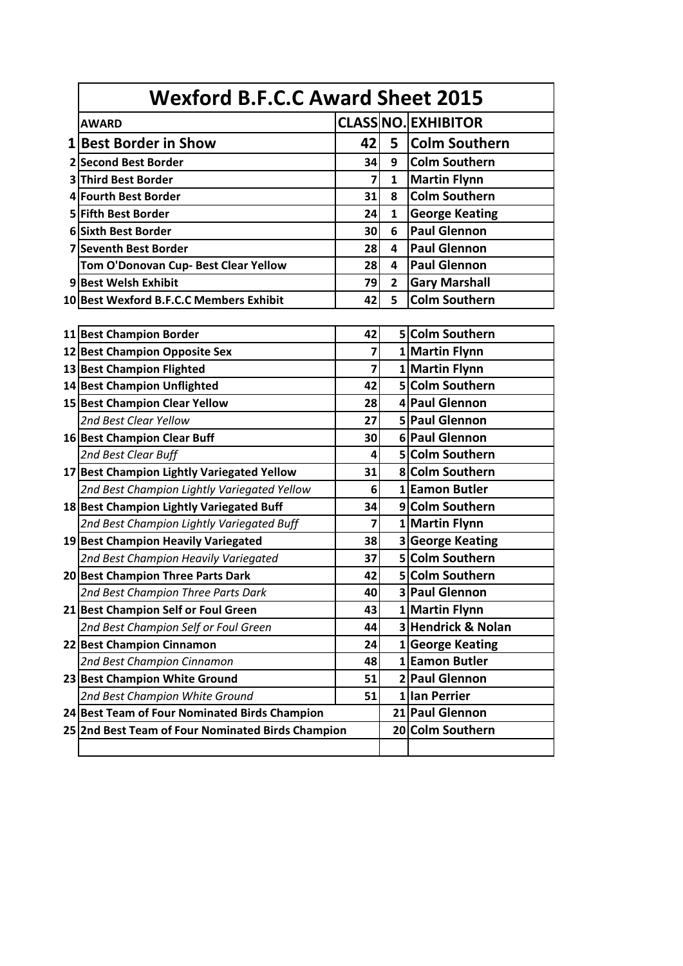|  | <b>AWARD</b>                                  |                         |                | <b>CLASS NO. EXHIBITOR</b> |  |  |  |
|--|-----------------------------------------------|-------------------------|----------------|----------------------------|--|--|--|
|  | 1 Best Border in Show                         | 42                      | 5              | <b>Colm Southern</b>       |  |  |  |
|  | 2 Second Best Border                          | 34                      | 9              | <b>Colm Southern</b>       |  |  |  |
|  | <b>3 Third Best Border</b>                    | 7                       | $\mathbf{1}$   | <b>Martin Flynn</b>        |  |  |  |
|  | 4 Fourth Best Border                          | 31                      | 8              | <b>Colm Southern</b>       |  |  |  |
|  | 5 Fifth Best Border                           | 24                      | $\mathbf{1}$   | <b>George Keating</b>      |  |  |  |
|  | 6 Sixth Best Border                           | 30                      | 6              | <b>Paul Glennon</b>        |  |  |  |
|  | <b>7 Seventh Best Border</b>                  | 28                      | 4              | <b>Paul Glennon</b>        |  |  |  |
|  | Tom O'Donovan Cup- Best Clear Yellow          | 28                      | 4              | <b>Paul Glennon</b>        |  |  |  |
|  | 9 Best Welsh Exhibit                          | 79                      | $\overline{2}$ | <b>Gary Marshall</b>       |  |  |  |
|  | 10 Best Wexford B.F.C.C Members Exhibit       | 42                      | 5              | <b>Colm Southern</b>       |  |  |  |
|  |                                               |                         |                |                            |  |  |  |
|  | 11 Best Champion Border                       | 42                      |                | 5 Colm Southern            |  |  |  |
|  | 12 Best Champion Opposite Sex                 | 7                       |                | 1 Martin Flynn             |  |  |  |
|  | 13 Best Champion Flighted                     | $\overline{\mathbf{z}}$ |                | 1 Martin Flynn             |  |  |  |
|  | 14 Best Champion Unflighted                   | 42                      |                | 5 Colm Southern            |  |  |  |
|  | 15 Best Champion Clear Yellow                 | 28                      |                | 4 Paul Glennon             |  |  |  |
|  | 2nd Best Clear Yellow                         | 27                      |                | 5 Paul Glennon             |  |  |  |
|  | 16 Best Champion Clear Buff                   | 30                      |                | 6 Paul Glennon             |  |  |  |
|  | 2nd Best Clear Buff                           | 4                       |                | 5 Colm Southern            |  |  |  |
|  | 17 Best Champion Lightly Variegated Yellow    | 31                      |                | 8 Colm Southern            |  |  |  |
|  | 2nd Best Champion Lightly Variegated Yellow   | 6                       |                | 1 Eamon Butler             |  |  |  |
|  | 18 Best Champion Lightly Variegated Buff      | 34                      |                | 9 Colm Southern            |  |  |  |
|  | 2nd Best Champion Lightly Variegated Buff     | 7                       |                | 1 Martin Flynn             |  |  |  |
|  | 19 Best Champion Heavily Variegated           | 38                      |                | 3 George Keating           |  |  |  |
|  | 2nd Best Champion Heavily Variegated          | 37                      |                | 5 Colm Southern            |  |  |  |
|  | 20 Best Champion Three Parts Dark             | 42                      |                | 5 Colm Southern            |  |  |  |
|  | 2nd Best Champion Three Parts Dark            | 40                      |                | 3 Paul Glennon             |  |  |  |
|  | 21 Best Champion Self or Foul Green           | 43                      |                | 1 Martin Flynn             |  |  |  |
|  | 2nd Best Champion Self or Foul Green          | 44                      |                | 3 Hendrick & Nolan         |  |  |  |
|  | 22 Best Champion Cinnamon                     | 24                      |                | 1 George Keating           |  |  |  |
|  | 2nd Best Champion Cinnamon                    | 48                      |                | 1 Eamon Butler             |  |  |  |
|  | 23 Best Champion White Ground                 | 51                      |                | 2 Paul Glennon             |  |  |  |
|  | 2nd Best Champion White Ground                | 51                      |                | 1 Ian Perrier              |  |  |  |
|  | 24 Best Team of Four Nominated Birds Champion |                         |                | 21 Paul Glennon            |  |  |  |
|  |                                               |                         |                |                            |  |  |  |